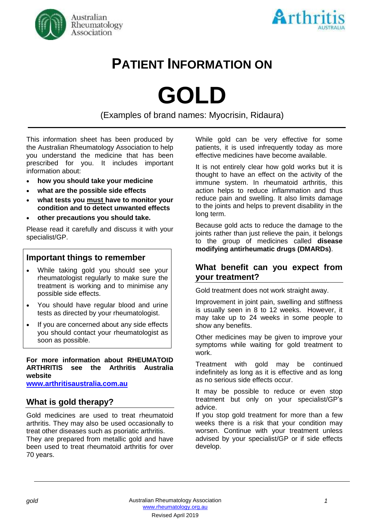



# **PATIENT INFORMATION ON**

**GOLD**

(Examples of brand names: Myocrisin, Ridaura)

This information sheet has been produced by the Australian Rheumatology Association to help you understand the medicine that has been prescribed for you. It includes important information about:

- **how you should take your medicine**
- **what are the possible side effects**
- **what tests you must have to monitor your condition and to detect unwanted effects**
- **other precautions you should take.**

Please read it carefully and discuss it with your specialist/GP.

# **Important things to remember**

- While taking gold you should see your rheumatologist regularly to make sure the treatment is working and to minimise any possible side effects.
- You should have regular blood and urine tests as directed by your rheumatologist.
- If you are concerned about any side effects you should contact your rheumatologist as soon as possible.

#### **For more information about RHEUMATOID ARTHRITIS see the Arthritis Australia website**

**[www.arthritisaustralia.com.au](http://www.arthritisaustralia.com.au/)**

# **What is gold therapy?**

Gold medicines are used to treat rheumatoid arthritis. They may also be used occasionally to treat other diseases such as psoriatic arthritis. They are prepared from metallic gold and have been used to treat rheumatoid arthritis for over 70 years.

While gold can be very effective for some patients, it is used infrequently today as more effective medicines have become available.

It is not entirely clear how gold works but it is thought to have an effect on the activity of the immune system. In rheumatoid arthritis, this action helps to reduce inflammation and thus reduce pain and swelling. It also limits damage to the joints and helps to prevent disability in the long term.

Because gold acts to reduce the damage to the joints rather than just relieve the pain, it belongs to the group of medicines called **disease modifying antirheumatic drugs (DMARDs)**.

### **What benefit can you expect from your treatment?**

Gold treatment does not work straight away.

Improvement in joint pain, swelling and stiffness is usually seen in 8 to 12 weeks. However, it may take up to 24 weeks in some people to show any benefits.

Other medicines may be given to improve your symptoms while waiting for gold treatment to work.

Treatment with gold may be continued indefinitely as long as it is effective and as long as no serious side effects occur.

It may be possible to reduce or even stop treatment but only on your specialist/GP's advice.

If you stop gold treatment for more than a few weeks there is a risk that your condition may worsen. Continue with your treatment unless advised by your specialist/GP or if side effects develop.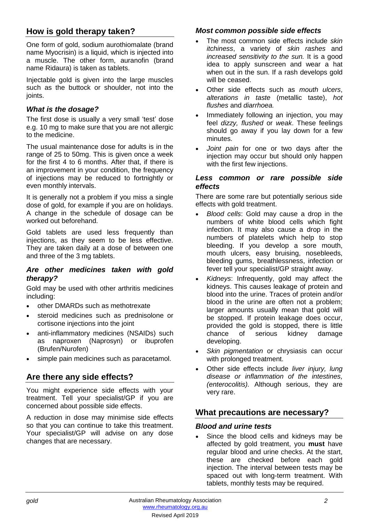# **How is gold therapy taken?**

One form of gold, sodium aurothiomalate (brand name Myocrisin) is a liquid, which is injected into a muscle. The other form, auranofin (brand name Ridaura) is taken as tablets.

Injectable gold is given into the large muscles such as the buttock or shoulder, not into the ioints.

#### *What is the dosage?*

The first dose is usually a very small 'test' dose e.g. 10 mg to make sure that you are not allergic to the medicine.

The usual maintenance dose for adults is in the range of 25 to 50mg. This is given once a week for the first 4 to 6 months. After that, if there is an improvement in your condition, the frequency of injections may be reduced to fortnightly or even monthly intervals.

It is generally not a problem if you miss a single dose of gold, for example if you are on holidays. A change in the schedule of dosage can be worked out beforehand.

Gold tablets are used less frequently than injections, as they seem to be less effective. They are taken daily at a dose of between one and three of the 3 mg tablets.

#### *Are other medicines taken with gold therapy?*

Gold may be used with other arthritis medicines including:

- other DMARDs such as methotrexate
- steroid medicines such as prednisolone or cortisone injections into the joint
- anti-inflammatory medicines (NSAIDs) such as naproxen (Naprosyn) or ibuprofen (Brufen/Nurofen)
- simple pain medicines such as paracetamol.

# **Are there any side effects?**

You might experience side effects with your treatment. Tell your specialist/GP if you are concerned about possible side effects.

A reduction in dose may minimise side effects so that you can continue to take this treatment. Your specialist/GP will advise on any dose changes that are necessary.

#### *Most common possible side effects*

- The most common side effects include *skin itchiness*, a variety of *skin rashes* and *increased sensitivity to the sun.* It is a good idea to apply sunscreen and wear a hat when out in the sun. If a rash develops gold will be ceased.
- Other side effects such as *mouth ulcers*, *alterations in taste* (metallic taste), *hot flushes* and *diarrhoea.*
- Immediately following an injection, you may feel *dizzy, flushed* or *weak*. These feelings should go away if you lay down for a few minutes.
- *Joint pain* for one or two days after the injection may occur but should only happen with the first few injections.

#### *Less common or rare possible side effects*

There are some rare but potentially serious side effects with gold treatment.

- *Blood cells*: Gold may cause a drop in the numbers of white blood cells which fight infection. It may also cause a drop in the numbers of platelets which help to stop bleeding. If you develop a sore mouth, mouth ulcers, easy bruising, nosebleeds, bleeding gums, breathlessness, infection or fever tell your specialist/GP straight away.
- *Kidneys*: Infrequently, gold may affect the kidneys. This causes leakage of protein and blood into the urine. Traces of protein and/or blood in the urine are often not a problem; larger amounts usually mean that gold will be stopped. If protein leakage does occur, provided the gold is stopped, there is little chance of serious kidney damage developing.
- *Skin pigmentation* or [chrysiasis](http://dermnetnz.org/reactions/chrysiasis.html) can occur with prolonged treatment.
- Other side effects include *liver injury, lung disease or inflammation of the intestines, (enterocolitis).* Although serious, they are very rare.

### **What precautions are necessary?**

#### *Blood and urine tests*

Since the blood cells and kidneys may be affected by gold treatment, you **must** have regular blood and urine checks. At the start, these are checked before each gold injection. The interval between tests may be spaced out with long-term treatment. With tablets, monthly tests may be required.